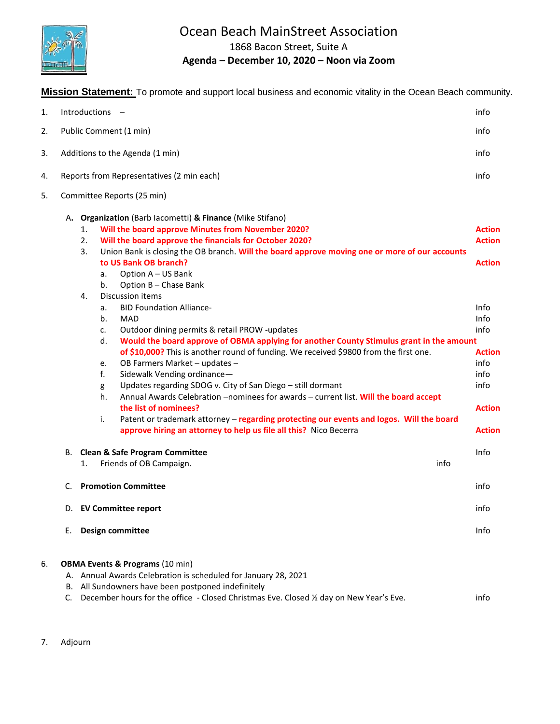

## Ocean Beach MainStreet Association

1868 Bacon Street, Suite A

## **Agenda – December 10, 2020 – Noon via Zoom**

**Mission Statement:** To promote and support local business and economic vitality in the Ocean Beach community.

| 1. |    | Introductions<br>$\overline{\phantom{0}}$                                                                                                                                                                                                                                                                                                                                                                                                                                                                                                                                                                                                                                                                                                                                                                                                                                                                                                                                                                                                                                                                                                                                 | info                                                                                                                                               |
|----|----|---------------------------------------------------------------------------------------------------------------------------------------------------------------------------------------------------------------------------------------------------------------------------------------------------------------------------------------------------------------------------------------------------------------------------------------------------------------------------------------------------------------------------------------------------------------------------------------------------------------------------------------------------------------------------------------------------------------------------------------------------------------------------------------------------------------------------------------------------------------------------------------------------------------------------------------------------------------------------------------------------------------------------------------------------------------------------------------------------------------------------------------------------------------------------|----------------------------------------------------------------------------------------------------------------------------------------------------|
| 2. |    | Public Comment (1 min)                                                                                                                                                                                                                                                                                                                                                                                                                                                                                                                                                                                                                                                                                                                                                                                                                                                                                                                                                                                                                                                                                                                                                    | info                                                                                                                                               |
| 3. |    | Additions to the Agenda (1 min)                                                                                                                                                                                                                                                                                                                                                                                                                                                                                                                                                                                                                                                                                                                                                                                                                                                                                                                                                                                                                                                                                                                                           | info                                                                                                                                               |
| 4. |    | Reports from Representatives (2 min each)                                                                                                                                                                                                                                                                                                                                                                                                                                                                                                                                                                                                                                                                                                                                                                                                                                                                                                                                                                                                                                                                                                                                 | info                                                                                                                                               |
| 5. |    | Committee Reports (25 min)                                                                                                                                                                                                                                                                                                                                                                                                                                                                                                                                                                                                                                                                                                                                                                                                                                                                                                                                                                                                                                                                                                                                                |                                                                                                                                                    |
|    |    | A. Organization (Barb lacometti) & Finance (Mike Stifano)<br>Will the board approve Minutes from November 2020?<br>1.<br>Will the board approve the financials for October 2020?<br>2.<br>Union Bank is closing the OB branch. Will the board approve moving one or more of our accounts<br>3.<br>to US Bank OB branch?<br>Option A - US Bank<br>а.<br>b.<br>Option B - Chase Bank<br>Discussion items<br>4.<br><b>BID Foundation Alliance-</b><br>a.<br>b.<br><b>MAD</b><br>Outdoor dining permits & retail PROW -updates<br>c.<br>d.<br>Would the board approve of OBMA applying for another County Stimulus grant in the amount<br>of \$10,000? This is another round of funding. We received \$9800 from the first one.<br>OB Farmers Market - updates -<br>e.<br>f.<br>Sidewalk Vending ordinance-<br>Updates regarding SDOG v. City of San Diego - still dormant<br>g<br>h.<br>Annual Awards Celebration -nominees for awards - current list. Will the board accept<br>the list of nominees?<br>i.<br>Patent or trademark attorney - regarding protecting our events and logos. Will the board<br>approve hiring an attorney to help us file all this? Nico Becerra | <b>Action</b><br><b>Action</b><br><b>Action</b><br>Info<br>Info<br>info<br><b>Action</b><br>info<br>info<br>info<br><b>Action</b><br><b>Action</b> |
|    | В. | <b>Clean &amp; Safe Program Committee</b><br>Friends of OB Campaign.<br>info<br>1.                                                                                                                                                                                                                                                                                                                                                                                                                                                                                                                                                                                                                                                                                                                                                                                                                                                                                                                                                                                                                                                                                        | Info                                                                                                                                               |
|    | C. | <b>Promotion Committee</b>                                                                                                                                                                                                                                                                                                                                                                                                                                                                                                                                                                                                                                                                                                                                                                                                                                                                                                                                                                                                                                                                                                                                                | info                                                                                                                                               |
|    |    | D. EV Committee report                                                                                                                                                                                                                                                                                                                                                                                                                                                                                                                                                                                                                                                                                                                                                                                                                                                                                                                                                                                                                                                                                                                                                    | info                                                                                                                                               |
|    | Е. | Design committee                                                                                                                                                                                                                                                                                                                                                                                                                                                                                                                                                                                                                                                                                                                                                                                                                                                                                                                                                                                                                                                                                                                                                          | Info                                                                                                                                               |
| 6. |    | <b>OBMA Events &amp; Programs (10 min)</b>                                                                                                                                                                                                                                                                                                                                                                                                                                                                                                                                                                                                                                                                                                                                                                                                                                                                                                                                                                                                                                                                                                                                |                                                                                                                                                    |
|    |    | A. Annual Awards Celebration is scheduled for January 28, 2021                                                                                                                                                                                                                                                                                                                                                                                                                                                                                                                                                                                                                                                                                                                                                                                                                                                                                                                                                                                                                                                                                                            |                                                                                                                                                    |
|    |    | B. All Sundowners have been postponed indefinitely                                                                                                                                                                                                                                                                                                                                                                                                                                                                                                                                                                                                                                                                                                                                                                                                                                                                                                                                                                                                                                                                                                                        |                                                                                                                                                    |
|    | C. | December hours for the office - Closed Christmas Eve. Closed 1/2 day on New Year's Eve.                                                                                                                                                                                                                                                                                                                                                                                                                                                                                                                                                                                                                                                                                                                                                                                                                                                                                                                                                                                                                                                                                   | info                                                                                                                                               |

7. Adjourn